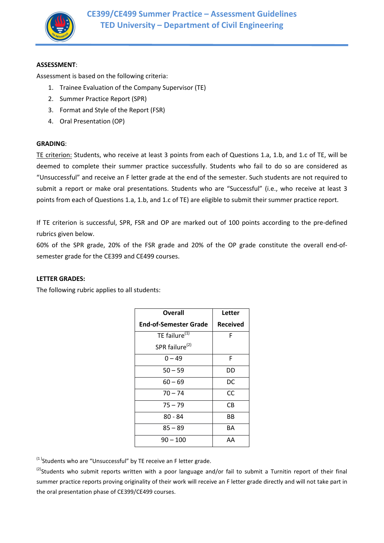

#### **ASSESSMENT**:

Assessment is based on the following criteria:

- 1. Trainee Evaluation of the Company Supervisor (TE)
- 2. Summer Practice Report (SPR)
- 3. Format and Style of the Report (FSR)
- 4. Oral Presentation (OP)

#### **GRADING**:

TE criterion: Students, who receive at least 3 points from each of Questions 1.a, 1.b, and 1.c of TE, will be deemed to complete their summer practice successfully. Students who fail to do so are considered as "Unsuccessful" and receive an F letter grade at the end of the semester. Such students are not required to submit a report or make oral presentations. Students who are "Successful" (i.e., who receive at least 3 points from each of Questions 1.a, 1.b, and 1.c of TE) are eligible to submit their summer practice report.

If TE criterion is successful, SPR, FSR and OP are marked out of 100 points according to the pre-defined rubrics given below.

60% of the SPR grade, 20% of the FSR grade and 20% of the OP grade constitute the overall end-ofsemester grade for the CE399 and CE499 courses.

### **LETTER GRADES:**

The following rubric applies to all students:

| Overall                      | Letter          |  |
|------------------------------|-----------------|--|
| <b>End-of-Semester Grade</b> | <b>Received</b> |  |
| TE failure <sup>(1)</sup>    | F               |  |
| SPR failure <sup>(2)</sup>   |                 |  |
| $0 - 49$                     | F               |  |
| $50 - 59$                    | DD              |  |
| $60 - 69$                    | DC              |  |
| $70 - 74$                    | CC.             |  |
| $75 - 79$                    | СB              |  |
| 80 - 84                      | ВB              |  |
| $85 - 89$                    | BА              |  |
| $90 - 100$                   | AA              |  |

 $<sup>(1)</sup>$ Students who are "Unsuccessful" by TE receive an F letter grade.</sup>

 $^{(2)}$ Students who submit reports written with a poor language and/or fail to submit a Turnitin report of their final summer practice reports proving originality of their work will receive an F letter grade directly and will not take part in the oral presentation phase of CE399/CE499 courses.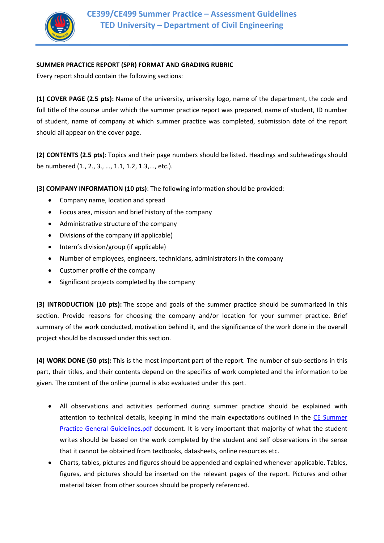

## **SUMMER PRACTICE REPORT (SPR) FORMAT AND GRADING RUBRIC**

Every report should contain the following sections:

**(1) COVER PAGE (2.5 pts):** Name of the university, university logo, name of the department, the code and full title of the course under which the summer practice report was prepared, name of student, ID number of student, name of company at which summer practice was completed, submission date of the report should all appear on the cover page.

**(2) CONTENTS (2.5 pts)**: Topics and their page numbers should be listed. Headings and subheadings should be numbered (1., 2., 3., …, 1.1, 1.2, 1.3,..., etc.).

**(3) COMPANY INFORMATION (10 pts)**: The following information should be provided:

- Company name, location and spread
- Focus area, mission and brief history of the company
- Administrative structure of the company
- Divisions of the company (if applicable)
- Intern's division/group (if applicable)
- Number of employees, engineers, technicians, administrators in the company
- Customer profile of the company
- Significant projects completed by the company

**(3) INTRODUCTION (10 pts):** The scope and goals of the summer practice should be summarized in this section. Provide reasons for choosing the company and/or location for your summer practice. Brief summary of the work conducted, motivation behind it, and the significance of the work done in the overall project should be discussed under this section.

**(4) WORK DONE (50 pts):** This is the most important part of the report. The number of sub-sections in this part, their titles, and their contents depend on the specifics of work completed and the information to be given. The content of the online journal is also evaluated under this part.

- All observations and activities performed during summer practice should be explained with attention to technical details, keeping in mind the main expectations outlined in the CE Summer Practice General Guidelines.pdf document. It is very important that majority of what the student writes should be based on the work completed by the student and self observations in the sense that it cannot be obtained from textbooks, datasheets, online resources etc.
- Charts, tables, pictures and figures should be appended and explained whenever applicable. Tables, figures, and pictures should be inserted on the relevant pages of the report. Pictures and other material taken from other sources should be properly referenced.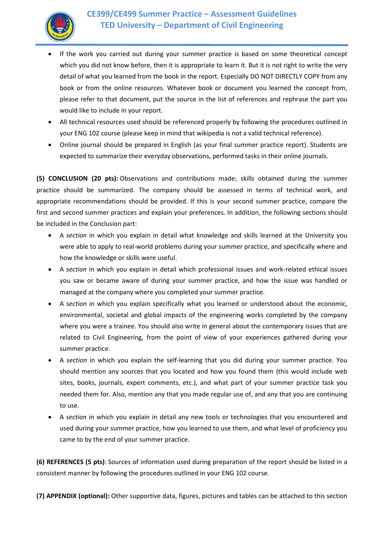

- If the work you carried out during your summer practice is based on some theoretical concept which you did not know before, then it is appropriate to learn it. But it is not right to write the very detail of what you learned from the book in the report. Especially DO NOT DIRECTLY COPY from any book or from the online resources. Whatever book or document you learned the concept from, please refer to that document, put the source in the list of references and rephrase the part you would like to include in your report.
- All technical resources used should be referenced properly by following the procedures outlined in your ENG 102 course (please keep in mind that wikipedia is not a valid technical reference).
- Online journal should be prepared in English (as your final summer practice report). Students are expected to summarize their everyday observations, performed tasks in their online journals.

**(5) CONCLUSION (20 pts):** Observations and contributions made; skills obtained during the summer practice should be summarized. The company should be assessed in terms of technical work, and appropriate recommendations should be provided. If this is your second summer practice, compare the first and second summer practices and explain your preferences. In addition, the following sections should be included in the Conclusion part:

- A *section* in which you explain in detail what knowledge and skills learned at the University you were able to apply to real-world problems during your summer practice, and specifically where and how the knowledge or skills were useful.
- A *section* in which you explain in detail which professional issues and work-related ethical issues you saw or became aware of during your summer practice, and how the issue was handled or managed at the company where you completed your summer practice.
- A *section* in which you explain specifically what you learned or understood about the economic, environmental, societal and global impacts of the engineering works completed by the company where you were a trainee. You should also write in general about the contemporary issues that are related to Civil Engineering, from the point of view of your experiences gathered during your summer practice.
- A *section* in which you explain the self-learning that you did during your summer practice. You should mention any sources that you located and how you found them (this would include web sites, books, journals, expert comments, etc.), and what part of your summer practice task you needed them for. Also, mention any that you made regular use of, and any that you are continuing to use.
- A *section* in which you explain in detail any new tools or technologies that you encountered and used during your summer practice, how you learned to use them, and what level of proficiency you came to by the end of your summer practice.

**(6) REFERENCES (5 pts)**: Sources of information used during preparation of the report should be listed in a consistent manner by following the procedures outlined in your ENG 102 course.

**(7) APPENDIX (optional):** Other supportive data, figures, pictures and tables can be attached to this section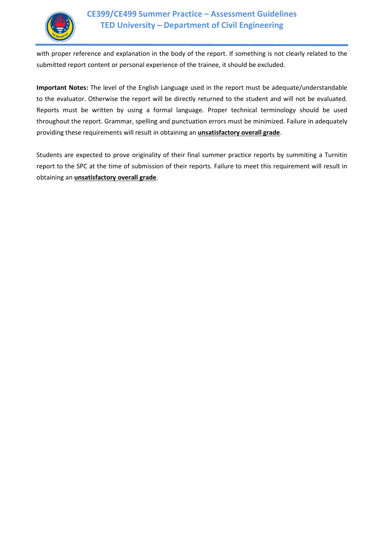

with proper reference and explanation in the body of the report. If something is not clearly related to the submitted report content or personal experience of the trainee, it should be excluded.

**Important Notes:** The level of the English Language used in the report must be adequate/understandable to the evaluator. Otherwise the report will be directly returned to the student and will not be evaluated. Reports must be written by using a formal language. Proper technical terminology should be used throughout the report. Grammar, spelling and punctuation errors must be minimized. Failure in adequately providing these requirements will result in obtaining an **unsatisfactory overall grade**.

Students are expected to prove originality of their final summer practice reports by summiting a Turnitin report to the SPC at the time of submission of their reports. Failure to meet this requirement will result in obtaining an **unsatisfactory overall grade**.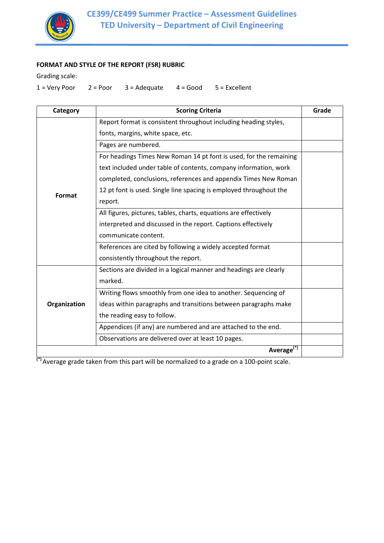

## **FORMAT AND STYLE OF THE REPORT (FSR) RUBRIC**

Grading scale:

 $1 = \text{Very Poor}$   $2 = \text{Poor}$   $3 = \text{Adequate}$   $4 = \text{Good}$   $5 = \text{Excellent}$ 

| Category     | <b>Scoring Criteria</b>                                            | Grade |
|--------------|--------------------------------------------------------------------|-------|
|              | Report format is consistent throughout including heading styles,   |       |
|              | fonts, margins, white space, etc.                                  |       |
|              | Pages are numbered.                                                |       |
|              | For headings Times New Roman 14 pt font is used, for the remaining |       |
| Format       | text included under table of contents, company information, work   |       |
|              | completed, conclusions, references and appendix Times New Roman    |       |
|              | 12 pt font is used. Single line spacing is employed throughout the |       |
|              | report.                                                            |       |
|              | All figures, pictures, tables, charts, equations are effectively   |       |
|              | interpreted and discussed in the report. Captions effectively      |       |
|              | communicate content.                                               |       |
|              | References are cited by following a widely accepted format         |       |
|              | consistently throughout the report.                                |       |
| Organization | Sections are divided in a logical manner and headings are clearly  |       |
|              | marked.                                                            |       |
|              | Writing flows smoothly from one idea to another. Sequencing of     |       |
|              | ideas within paragraphs and transitions between paragraphs make    |       |
|              | the reading easy to follow.                                        |       |
|              | Appendices (if any) are numbered and are attached to the end.      |       |
|              | Observations are delivered over at least 10 pages.                 |       |
|              | Average <sup>(*)</sup>                                             |       |

**(\*)** Average grade taken from this part will be normalized to a grade on a 100-point scale.